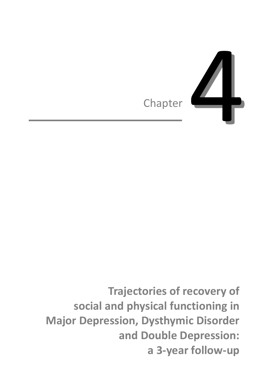

**Trajectories of recovery of social and physical functioning in Major Depression, Dysthymic Disorder and Double Depression: a 3-year follow-up**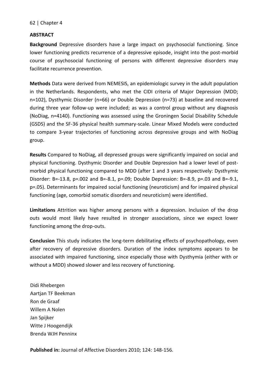## **ABSTRACT**

**Background** Depressive disorders have a large impact on psychosocial functioning. Since lower functioning predicts recurrence of a depressive episode, insight into the post-morbid course of psychosocial functioning of persons with different depressive disorders may facilitate recurrence prevention.

**Methods** Data were derived from NEMESIS, an epidemiologic survey in the adult population in the Netherlands. Respondents, who met the CIDI criteria of Major Depression (MDD; n=102), Dysthymic Disorder (n=66) or Double Depression (n=73) at baseline and recovered during three year follow-up were included; as was a control group without any diagnosis (NoDiag, n=4140). Functioning was assessed using the Groningen Social Disability Schedule (GSDS) and the SF-36 physical health summary-scale. Linear Mixed Models were conducted to compare 3-year trajectories of functioning across depressive groups and with NoDiag group.

**Results** Compared to NoDiag, all depressed groups were significantly impaired on social and physical functioning. Dysthymic Disorder and Double Depression had a lower level of postmorbid physical functioning compared to MDD (after 1 and 3 years respectively: Dysthymic Disorder: B=-13.8, p=.002 and B=-8.1, p=.09; Double Depression: B=-8.9, p=.03 and B=-9.1, p=.05). Determinants for impaired social functioning (neuroticism) and for impaired physical functioning (age, comorbid somatic disorders and neuroticism) were identified.

**Limitations** Attrition was higher among persons with a depression. Inclusion of the drop outs would most likely have resulted in stronger associations, since we expect lower functioning among the drop-outs.

**Conclusion** This study indicates the long-term debilitating effects of psychopathology, even after recovery of depressive disorders. Duration of the index symptoms appears to be associated with impaired functioning, since especially those with Dysthymia (either with or without a MDD) showed slower and less recovery of functioning.

Didi Rhebergen Aartjan TF Beekman Ron de Graaf Willem A Nolen Jan Spijker Witte J Hoogendijk Brenda WJH Penninx

**Published in:** Journal of Affective Disorders 2010; 124: 148-156.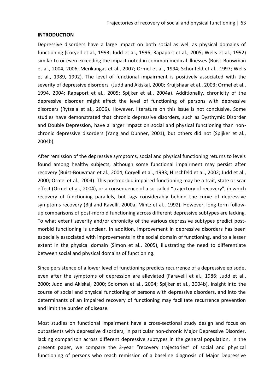# **INTRODUCTION**

Depressive disorders have a large impact on both social as well as physical domains of functioning (Coryell et al., 1993; Judd et al., 1996; Rapaport et al., 2005; Wells et al., 1992) similar to or even exceeding the impact noted in common medical illnesses (Buist-Bouwman et al., 2004, 2006; Merikangas et al., 2007; Ormel et al., 1994; Schonfeld et al., 1997; Wells et al., 1989, 1992). The level of functional impairment is positively associated with the severity of depressive disorders (Judd and Akiskal, 2000; Kruijshaar et al., 2003; Ormel et al., 1994, 2004; Rapaport et al., 2005; Spijker et al., 2004a). Additionally, chronicity of the depressive disorder might affect the level of functioning of persons with depressive disorders (Rytsala et al., 2006). However, literature on this issue is not conclusive. Some studies have demonstrated that chronic depressive disorders, such as Dysthymic Disorder and Double Depression, have a larger impact on social and physical functioning than nonchronic depressive disorders (Yang and Dunner, 2001), but others did not (Spijker et al., 2004b).

After remission of the depressive symptoms, social and physical functioning returns to levels found among healthy subjects, although some functional impairment may persist after recovery (Buist-Bouwman et al., 2004; Coryell et al., 1993; Hirschfeld et al., 2002; Judd et al., 2000; Ormel et al., 2004). This postmorbid impaired functioning may be a trait, state or scar effect (Ormel et al., 2004), or a consequence of a so-called "trajectory of recovery", in which recovery of functioning parallels, but lags considerably behind the curve of depressive symptoms recovery (Bijl and Ravelli, 2000a; Mintz et al., 1992). However, long-term followup comparisons of post-morbid functioning across different depressive subtypes are lacking. To what extent severity and/or chronicity of the various depressive subtypes predict postmorbid functioning is unclear. In addition, improvement in depressive disorders has been especially associated with improvements in the social domain of functioning, and to a lesser extent in the physical domain (Simon et al., 2005), illustrating the need to differentiate between social and physical domains of functioning.

Since persistence of a lower level of functioning predicts recurrence of a depressive episode, even after the symptoms of depression are alleviated (Faravelli et al., 1986; Judd et al., 2000; Judd and Akiskal, 2000; Solomon et al., 2004; Spijker et al., 2004b), insight into the course of social and physical functioning of persons with depressive disorders, and into the determinants of an impaired recovery of functioning may facilitate recurrence prevention and limit the burden of disease.

Most studies on functional impairment have a cross-sectional study design and focus on outpatients with depressive disorders, in particular non-chronic Major Depressive Disorder, lacking comparison across different depressive subtypes in the general population. In the present paper, we compare the 3-year "recovery trajectories" of social and physical functioning of persons who reach remission of a baseline diagnosis of Major Depressive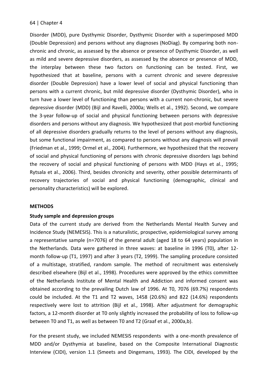Disorder (MDD), pure Dysthymic Disorder, Dysthymic Disorder with a superimposed MDD (Double Depression) and persons without any diagnoses (NoDiag). By comparing both nonchronic and chronic, as assessed by the absence or presence of Dysthymic Disorder, as well as mild and severe depressive disorders, as assessed by the absence or presence of MDD, the interplay between these two factors on functioning can be tested. First, we hypothesized that at baseline, persons with a current chronic and severe depressive disorder (Double Depression) have a lower level of social and physical functioning than persons with a current chronic, but mild depressive disorder (Dysthymic Disorder), who in turn have a lower level of functioning than persons with a current non-chronic, but severe depressive disorder (MDD) (Bijl and Ravelli, 2000a; Wells et al., 1992). Second, we compare the 3-year follow-up of social and physical functioning between persons with depressive disorders and persons without any diagnosis. We hypothesized that post-morbid functioning of all depressive disorders gradually returns to the level of persons without any diagnosis, but some functional impairment, as compared to persons without any diagnosis will prevail (Friedman et al., 1999; Ormel et al., 2004). Furthermore, we hypothesized that the recovery of social and physical functioning of persons with chronic depressive disorders lags behind the recovery of social and physical functioning of persons with MDD (Hays et al., 1995; Rytsala et al., 2006). Third, besides chronicity and severity, other possible determinants of recovery trajectories of social and physical functioning (demographic, clinical and personality characteristics) will be explored.

## **METHODS**

## **Study sample and depression groups**

Data of the current study are derived from the Netherlands Mental Health Survey and Incidence Study (NEMESIS). This is a naturalistic, prospective, epidemiological survey among a representative sample (n=7076) of the general adult (aged 18 to 64 years) population in the Netherlands. Data were gathered in three waves: at baseline in 1996 (T0), after 12 month follow-up (T1, 1997) and after 3 years (T2, 1999). The sampling procedure consisted of a multistage, stratified, random sample. The method of recruitment was extensively described elsewhere (Bijl et al., 1998). Procedures were approved by the ethics committee of the Netherlands Institute of Mental Health and Addiction and informed consent was obtained according to the prevailing Dutch law of 1996. At T0, 7076 (69.7%) respondents could be included. At the T1 and T2 waves, 1458 (20.6%) and 822 (14.6%) respondents respectively were lost to attrition (Bijl et al., 1998). After adjustment for demographic factors, a 12-month disorder at T0 only slightly increased the probability of loss to follow-up between T0 and T1, as well as between T0 and T2 (Graaf et al., 2000a,b).

For the present study, we included NEMESIS respondents with a one-month prevalence of MDD and/or Dysthymia at baseline, based on the Composite International Diagnostic Interview (CIDI), version 1.1 (Smeets and Dingemans, 1993). The CIDI, developed by the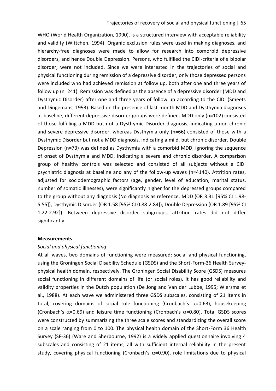WHO (World Health Organization, 1990), is a structured interview with acceptable reliability and validity (Wittchen, 1994). Organic exclusion rules were used in making diagnoses, and hierarchy-free diagnoses were made to allow for research into comorbid depressive disorders, and hence Double Depression. Persons, who fulfilled the CIDI-criteria of a bipolar disorder, were not included. Since we were interested in the trajectories of social and physical functioning during remission of a depressive disorder, only those depressed persons were included who had achieved remission at follow up, both after one and three years of follow up (n=241). Remission was defined as the absence of a depressive disorder (MDD and Dysthymic Disorder) after one and three years of follow up according to the CIDI (Smeets and Dingemans, 1993). Based on the presence of last-month MDD and Dysthymia diagnoses at baseline, different depressive disorder groups were defined. MDD only (n=102) consisted of those fulfilling a MDD but not a Dysthymic Disorder diagnosis, indicating a non-chronic and severe depressive disorder, whereas Dysthymia only (n=66) consisted of those with a Dysthymic Disorder but not a MDD diagnosis, indicating a mild, but chronic disorder. Double Depression (n=73) was defined as Dysthymia with a comorbid MDD, ignoring the sequence of onset of Dysthymia and MDD, indicating a severe and chronic disorder. A comparison group of healthy controls was selected and consisted of all subjects without a CIDI psychiatric diagnosis at baseline and any of the follow-up waves (n=4140). Attrition rates, adjusted for sociodemographic factors (age, gender, level of education, marital status, number of somatic illnesses), were significantly higher for the depressed groups compared to the group without any diagnosis (No diagnosis as reference, MDD (OR 3.31 [95% CI 1.98- 5.55]), Dysthymic Disorder (OR 1.58 [95% CI 0.88-2.84]), Double Depression (OR 1.89 [95% CI 1.22-2.92]). Between depressive disorder subgroups, attrition rates did not differ significantly.

### **Measurements**

#### *Social and physical functioning*

At all waves, two domains of functioning were measured: social and physical functioning, using the Groningen Social Disability Schedule (GSDS) and the Short-Form-36 Health Surveyphysical health domain, respectively. The Groningen Social Disability Score (GSDS) measures social functioning in different domains of life (or social roles). It has good reliability and validity properties in the Dutch population (De Jong and Van der Lubbe, 1995; Wiersma et al., 1988). At each wave we administered three GSDS subscales, consisting of 21 items in total, covering domains of social role functioning (Cronbach's  $\alpha$ =0.63), housekeeping (Cronbach's  $\alpha$ =0.69) and leisure time functioning (Cronbach's  $\alpha$ =0.80). Total GSDS scores were constructed by summarizing the three scale scores and standardizing the overall score on a scale ranging from 0 to 100. The physical health domain of the Short-Form 36 Health Survey (SF-36) (Ware and Sherbourne, 1992) is a widely applied questionnaire involving 4 subscales and consisting of 21 items, all with sufficient internal reliability in the present study, covering physical functioning (Cronbach's  $\alpha$ =0.90), role limitations due to physical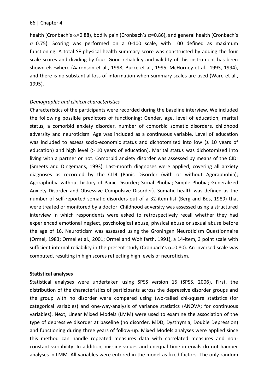health (Cronbach's  $\alpha$ =0.88), bodily pain (Cronbach's  $\alpha$ =0.86), and general health (Cronbach's  $\alpha$ =0.75). Scoring was performed on a 0-100 scale, with 100 defined as maximum functioning. A total SF-physical health summary score was constructed by adding the four scale scores and dividing by four. Good reliability and validity of this instrument has been shown elsewhere (Aaronson et al., 1998; Burke et al., 1995; McHorney et al., 1993, 1994), and there is no substantial loss of information when summary scales are used (Ware et al., 1995).

## *Demographic and clinical characteristics*

Characteristics of the participants were recorded during the baseline interview. We included the following possible predictors of functioning: Gender, age, level of education, marital status, a comorbid anxiety disorder, number of comorbid somatic disorders, childhood adversity and neuroticism. Age was included as a continuous variable. Level of education was included to assess socio-economic status and dichotomized into low ( $\leq 10$  years of education) and high level (> 10 years of education). Marital status was dichotomized into living with a partner or not. Comorbid anxiety disorder was assessed by means of the CIDI (Smeets and Dingemans, 1993). Last-month diagnoses were applied, covering all anxiety diagnoses as recorded by the CIDI (Panic Disorder (with or without Agoraphobia); Agoraphobia without history of Panic Disorder; Social Phobia; Simple Phobia; Generalized Anxiety Disorder and Obsessive Compulsive Disorder). Somatic health was defined as the number of self-reported somatic disorders out of a 32-item list (Berg and Bos, 1989) that were treated or monitored by a doctor. Childhood adversity was assessed using a structured interview in which respondents were asked to retrospectively recall whether they had experienced emotional neglect, psychological abuse, physical abuse or sexual abuse before the age of 16. Neuroticism was assessed using the Groningen Neuroticism Questionnaire (Ormel, 1983; Ormel et al., 2001; Ormel and Wohlfarth, 1991), a 14-item, 3 point scale with sufficient internal reliability in the present study (Cronbach's  $\alpha$ =0.80). An inversed scale was computed, resulting in high scores reflecting high levels of neuroticism.

### **Statistical analyses**

Statistical analyses were undertaken using SPSS version 15 (SPSS, 2006). First, the distribution of the characteristics of participants across the depressive disorder groups and the group with no disorder were compared using two-tailed chi-square statistics (for categorical variables) and one-way-analysis of variance statistics (ANOVA; for continuous variables). Next, Linear Mixed Models (LMM) were used to examine the association of the type of depressive disorder at baseline (no disorder, MDD, Dysthymia, Double Depression) and functioning during three years of follow-up. Mixed Models analyses were applied since this method can handle repeated measures data with correlated measures and nonconstant variability. In addition, missing values and unequal time intervals do not hamper analyses in LMM. All variables were entered in the model as fixed factors. The only random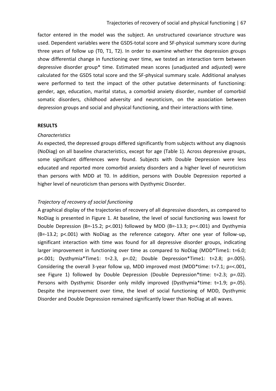factor entered in the model was the subject. An unstructured covariance structure was used. Dependent variables were the GSDS-total score and SF-physical summary score during three years of follow up (T0, T1, T2). In order to examine whether the depression groups show differential change in functioning over time, we tested an interaction term between depressive disorder group\* time. Estimated mean scores (unadjusted and adjusted) were calculated for the GSDS total score and the SF-physical summary scale. Additional analyses were performed to test the impact of the other putative determinants of functioning: gender, age, education, marital status, a comorbid anxiety disorder, number of comorbid somatic disorders, childhood adversity and neuroticism, on the association between depression groups and social and physical functioning, and their interactions with time.

### **RESULTS**

### *Characteristics*

As expected, the depressed groups differed significantly from subjects without any diagnosis (NoDiag) on all baseline characteristics, except for age (Table 1). Across depressive groups, some significant differences were found. Subjects with Double Depression were less educated and reported more comorbid anxiety disorders and a higher level of neuroticism than persons with MDD at T0. In addition, persons with Double Depression reported a higher level of neuroticism than persons with Dysthymic Disorder.

## *Trajectory of recovery of social functioning*

A graphical display of the trajectories of recovery of all depressive disorders, as compared to NoDiag is presented in Figure 1. At baseline, the level of social functioning was lowest for Double Depression (B=-15.2; p<.001) followed by MDD (B=-13.3; p=<.001) and Dysthymia (B=-13.2; p<.001) with NoDiag as the reference category. After one year of follow-up, significant interaction with time was found for all depressive disorder groups, indicating larger improvement in functioning over time as compared to NoDiag (MDD\*Time1: t=6.0; p<.001; Dysthymia\*Time1: t=2.3, p=.02; Double Depression\*Time1: t=2.8; p=.005). Considering the overall 3-year follow up, MDD improved most (MDD\*time: t=7.1; p=<.001, see Figure 1) followed by Double Depression (Double Depression\*time: t=2.3; p=.02). Persons with Dysthymic Disorder only mildly improved (Dysthymia\*time: t=1.9; p=.05). Despite the improvement over time, the level of social functioning of MDD, Dysthymic Disorder and Double Depression remained significantly lower than NoDiag at all waves.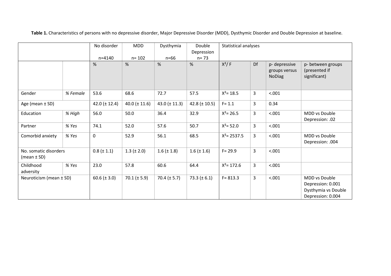No disorder n=4140 MDD n= 102 Dysthymia n=66 Double Depression n= 73 Statistical analyses % % % %  $\frac{1}{2}$  X<sup>2</sup>/ F Df p-depressive groups versus NoDiag p- between groups (presented if significant) Gender *% Female* 53.6 68.6 72.7 57.5 Χ²= 18.5 3 <.001 Age (mean  $\pm$  SD) 42.0 ( $\pm$  12.4) 40.0 ( $\pm$  11.6) 43.0 ( $\pm$  11.3) 42.8 ( $\pm$  10.5) F= 1.1 3 0.34 Education  $\frac{1}{8}$  *Migh* 56.0 50.0 36.4 32.9  $X^2 = 26.5$  3 <.001 MDD vs Double Depression: .02 Partner *% Yes* 74.1 52.0 57.6 50.7 Χ²= 52.0 3 <.001 Comorbid anxiety *% Yes* 0 52.9 56.1 68.5 Χ²= 2537.5 3 <.001 MDD vs Double Depression: .004 No. somatic disorders (mean ± SD)  $0.8 (\pm 1.1)$  1.3 ( $\pm 2.0$ ) 1.6 ( $\pm 1.8$ ) 1.6 ( $\pm 1.6$ ) F= 29.9 3 <.001 Childhood adversity *% Yes* 23.0 57.8 60.6 64.4 Χ²= 172.6 3 <.001 Neuroticism (mean ± SD) 60.6 (± 3.0) 70.1 (± 5.9) 70.4 (± 5.7) 73.3 (± 6.1) F= 813.3 3 <.001 MDD vs Double Depression: 0.001 Dysthymia vs Double Depression: 0.004

**Table 1.** Characteristics of persons with no depressive disorder, Major Depressive Disorder (MDD), Dysthymic Disorder and Double Depression at baseline.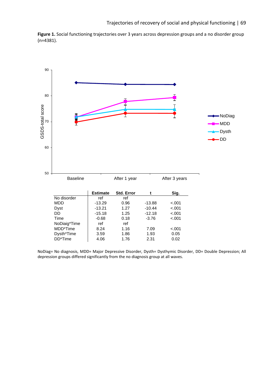**Figure 1.** Social functioning trajectories over 3 years across depression groups and a no disorder group (n=4381).



NoDiag= No diagnosis, MDD= Major Depressive Disorder, Dysth= Dysthymic Disorder, DD= Double Depression; All depression groups differed significantly from the no diagnosis group at all waves.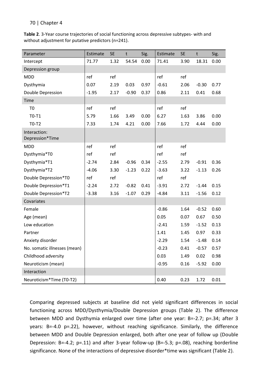**Table 2**. 3-Year course trajectories of social functioning across depressive subtypes- with and without adjustment for putative predictors (n=241).

| Parameter                       | Estimate | <b>SE</b> | $\mathsf{t}$ | Sig. | Estimate | <b>SE</b> | $\mathsf{t}$ | Sig. |
|---------------------------------|----------|-----------|--------------|------|----------|-----------|--------------|------|
| Intercept                       | 71.77    | 1.32      | 54.54        | 0.00 | 71.41    | 3.90      | 18.31        | 0.00 |
| Depression group                |          |           |              |      |          |           |              |      |
| <b>MDD</b>                      | ref      | ref       |              |      | ref      | ref       |              |      |
| Dysthymia                       | 0.07     | 2.19      | 0.03         | 0.97 | $-0.61$  | 2.06      | $-0.30$      | 0.77 |
| Double Depression               | $-1.95$  | 2.17      | $-0.90$      | 0.37 | 0.86     | 2.11      | 0.41         | 0.68 |
| Time                            |          |           |              |      |          |           |              |      |
| T <sub>0</sub>                  | ref      | ref       |              |      | ref      | ref       |              |      |
| $T0-T1$                         | 5.79     | 1.66      | 3.49         | 0.00 | 6.27     | 1.63      | 3.86         | 0.00 |
| $TO-T2$                         | 7.33     | 1.74      | 4.21         | 0.00 | 7.66     | 1.72      | 4.44         | 0.00 |
| Interaction:<br>Depression*Time |          |           |              |      |          |           |              |      |
| <b>MDD</b>                      | ref      | ref       |              |      | ref      | ref       |              |      |
| Dysthymia*T0                    | ref      | ref       |              |      | ref      | ref       |              |      |
| Dysthymia*T1                    | $-2.74$  | 2.84      | $-0.96$      | 0.34 | $-2.55$  | 2.79      | $-0.91$      | 0.36 |
| Dysthymia*T2                    | $-4.06$  | 3.30      | $-1.23$      | 0.22 | $-3.63$  | 3.22      | $-1.13$      | 0.26 |
| Double Depression*T0            | ref      | ref       |              |      | ref      | ref       |              |      |
| Double Depression*T1            | $-2.24$  | 2.72      | $-0.82$      | 0.41 | $-3.91$  | 2.72      | $-1.44$      | 0.15 |
| Double Depression*T2            | $-3.38$  | 3.16      | $-1.07$      | 0.29 | $-4.84$  | 3.11      | $-1.56$      | 0.12 |
| Covariates                      |          |           |              |      |          |           |              |      |
| Female                          |          |           |              |      | $-0.86$  | 1.64      | $-0.52$      | 0.60 |
| Age (mean)                      |          |           |              |      | 0.05     | 0.07      | 0.67         | 0.50 |
| Low education                   |          |           |              |      | $-2.41$  | 1.59      | $-1.52$      | 0.13 |
| Partner                         |          |           |              |      | 1.41     | 1.45      | 0.97         | 0.33 |
| Anxiety disorder                |          |           |              |      | $-2.29$  | 1.54      | $-1.48$      | 0.14 |
| No. somatic illnesses (mean)    |          |           |              |      | $-0.23$  | 0.41      | $-0.57$      | 0.57 |
| Childhood adversity             |          |           |              |      | 0.03     | 1.49      | 0.02         | 0.98 |
| Neuroticism (mean)              |          |           |              |      | $-0.95$  | 0.16      | $-5.92$      | 0.00 |
| Interaction                     |          |           |              |      |          |           |              |      |
| Neuroticism*Time (T0-T2)        |          |           |              |      | 0.40     | 0.23      | 1.72         | 0.01 |

Comparing depressed subjects at baseline did not yield significant differences in social functioning across MDD/Dysthymia/Double Depression groups (Table 2). The difference between MDD and Dysthymia enlarged over time (after one year: B=-2.7; p=.34; after 3 years: B=-4.0 p=.22), however, without reaching significance. Similarly, the difference between MDD and Double Depression enlarged, both after one year of follow up (Double Depression: B=-4.2; p=.11) and after 3-year follow-up (B=-5.3; p=.08), reaching borderline significance. None of the interactions of depressive disorder\*time was significant (Table 2).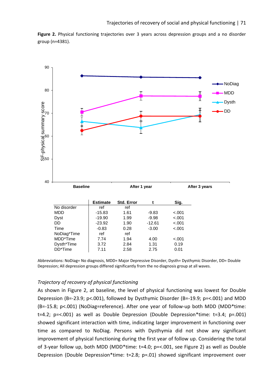**Figure 2.** Physical functioning trajectories over 3 years across depression groups and a no disorder group (n=4381).



Abbreviations: NoDiag= No diagnosis, MDD= Major Depressive Disorder, Dysth= Dysthymic Disorder, DD= Double Depression; All depression groups differed significantly from the no diagnosis group at all waves.

### *Trajectory of recovery of physical functioning*

As shown in Figure 2, at baseline, the level of physical functioning was lowest for Double Depression (B=-23.9; p<.001), followed by Dysthymic Disorder (B=-19.9; p=<.001) and MDD (B=-15.8; p<.001) (NoDiag=reference). After one year of follow-up both MDD (MDD\*time: t=4.2;  $p = <.001$ ) as well as Double Depression (Double Depression\*time: t=3.4;  $p = .001$ ) showed significant interaction with time, indicating larger improvement in functioning over time as compared to NoDiag. Persons with Dysthymia did not show any significant improvement of physical functioning during the first year of follow up. Considering the total of 3-year follow up, both MDD (MDD\*time: t=4.0; p=<.001, see Figure 2) as well as Double Depression (Double Depression\*time: t=2.8; p=.01) showed significant improvement over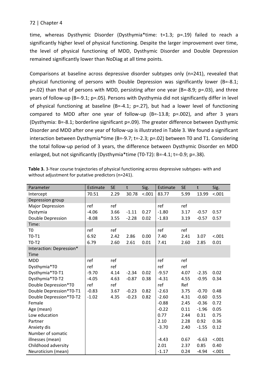time, whereas Dysthymic Disorder (Dysthymia\*time: t=1.3; p=.19) failed to reach a significantly higher level of physical functioning. Despite the larger improvement over time, the level of physical functioning of MDD, Dysthymic Disorder and Double Depression remained significantly lower than NoDiag at all time points.

Comparisons at baseline across depressive disorder subtypes only (n=241), revealed that physical functioning of persons with Double Depression was significantly lower (B=-8.1; p=.02) than that of persons with MDD, persisting after one year (B=-8.9; p=.03), and three years of follow-up (B=-9.1; p=.05). Persons with Dysthymia did not significantly differ in level of physical functioning at baseline (B=-4.1;  $p=.27$ ), but had a lower level of functioning compared to MDD after one year of follow-up  $(B=-13.8; p=.002)$ , and after 3 years (Dysthymia: B=-8.1; borderline significant p=.09). The greater difference between Dysthymic Disorder and MDD after one year of follow-up is illustrated in Table 3. We found a significant interaction between Dysthymia\*time (B=-9.7; t=-2.3; p=.02) between T0 and T1. Considering the total follow-up period of 3 years, the difference between Dysthymic Disorder en MDD enlarged, but not significantly (Dysthymia\*time (T0-T2): B=-4.1; t=-0.9; p=.38).

| Parameter                | Estimate | <b>SE</b> | t       | Sig.   | Estimate | <b>SE</b> | t       | Sig.   |
|--------------------------|----------|-----------|---------|--------|----------|-----------|---------|--------|
| Intercept                | 70.51    | 2.29      | 30.78   | < .001 | 83.77    | 5.99      | 13.99   | < .001 |
| Depression group         |          |           |         |        |          |           |         |        |
| Major Depression         | ref      | ref       |         |        | ref      | ref       |         |        |
| Dystymia                 | $-4.06$  | 3.66      | $-1.11$ | 0.27   | $-1.80$  | 3.17      | $-0.57$ | 0.57   |
| Double Depression        | $-8.08$  | 3.55      | $-2.28$ | 0.02   | $-1.83$  | 3.19      | $-0.57$ | 0.57   |
| Time:                    |          |           |         |        |          |           |         |        |
| T <sub>0</sub>           | ref      | ref       |         |        | ref      | ref       |         |        |
| $T0-T1$                  | 6.92     | 2.42      | 2.86    | 0.00   | 7.40     | 2.41      | 3.07    | < .001 |
| $T0-T2$                  | 6.79     | 2.60      | 2.61    | 0.01   | 7.41     | 2.60      | 2.85    | 0.01   |
| Interaction: Depression* |          |           |         |        |          |           |         |        |
| <b>Time</b>              |          |           |         |        |          |           |         |        |
| <b>MDD</b>               | ref      | ref       |         |        | ref      | ref       |         |        |
| Dysthymia*T0             | ref      | ref       |         |        | ref      | ref       |         |        |
| Dysthymia*T0-T1          | $-9.70$  | 4.14      | $-2.34$ | 0.02   | $-9.57$  | 4.07      | $-2.35$ | 0.02   |
| Dysthymia*T0-T2          | $-4.05$  | 4.63      | $-0.87$ | 0.38   | $-4.31$  | 4.55      | $-0.95$ | 0.34   |
| Double Depression*T0     | ref      | ref       |         |        | ref      | Ref       |         |        |
| Double Depression*T0-T1  | $-0.83$  | 3.67      | $-0.23$ | 0.82   | $-2.63$  | 3.75      | $-0.70$ | 0.48   |
| Double Depression*T0-T2  | $-1.02$  | 4.35      | $-0.23$ | 0.82   | $-2.60$  | 4.31      | $-0.60$ | 0.55   |
| Female                   |          |           |         |        | $-0.88$  | 2.45      | $-0.36$ | 0.72   |
| Age (mean)               |          |           |         |        | $-0.22$  | 0.11      | $-1.96$ | 0.05   |
| Low education            |          |           |         |        | 0.77     | 2.44      | 0.31    | 0.75   |
| Partner                  |          |           |         |        | 2.10     | 2.28      | 0.92    | 0.36   |
| Anxiety dis              |          |           |         |        | $-3.70$  | 2.40      | $-1.55$ | 0.12   |
| Number of somatic        |          |           |         |        |          |           |         |        |
| illnesses (mean)         |          |           |         |        | $-4.43$  | 0.67      | $-6.63$ | < .001 |
| Childhood adversity      |          |           |         |        | 2.01     | 2.37      | 0.85    | 0.40   |
| Neuroticism (mean)       |          |           |         |        | $-1.17$  | 0.24      | $-4.94$ | < .001 |

**Table 3.** 3-Year course trajectories of physical functioning across depressive subtypes- with and without adjustment for putative predictors (n=241).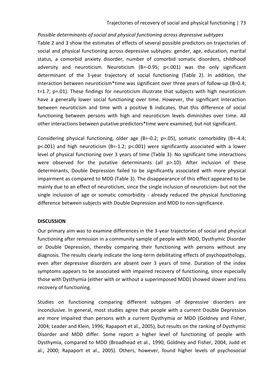## *Possible determinants of social and physical functioning across depressive subtypes*

Table 2 and 3 show the estimates of effects of several possible predictors on trajectories of social and physical functioning across depressive subtypes: gender, age, education, marital status, a comorbid anxiety disorder, number of comorbid somatic disorders, childhood adversity and neuroticism. Neuroticism (B=-0.95; p<.001) was the only significant determinant of the 3-year trajectory of social functioning (Table 2). In addition, the interaction between neuroticism\*time was significant over three years of follow-up (B=0.4; t=1.7; p=.01). These findings for neuroticism illustrate that subjects with high neuroticism have a generally lower social functioning over time. However, the significant interaction between neuroticism and time with a positive B indicates, that this difference of social functioning between persons with high and neuroticism levels diminishes over time. All other interactions between putative predictors\*time were examined, but not significant.

Considering physical functioning, older age (B=-0.2; p=.05), somatic comorbidity (B=-4.4;  $p$ <.001) and high neuroticism (B=-1.2;  $p$ <.001) were significantly associated with a lower level of physical functioning over 3 years of time (Table 3). No significant time interactions were observed for the putative determinants (all p>.10). After inclusion of these determinants, Double Depression failed to be significantly associated with more physical impairment as compared to MDD (Table 3). The disappearance of this effect appeared to be mainly due to an effect of neuroticism, since the single inclusion of neuroticism- but not the single inclusion of age or somatic comorbidity - already reduced the physical functioning difference between subjects with Double Depression and MDD to non-significance.

### **DISCUSSION**

Our primary aim was to examine differences in the 3-year trajectories of social and physical functioning after remission in a community sample of people with MDD, Dysthymic Disorder or Double Depression, thereby comparing their functioning with persons without any diagnosis. The results clearly indicate the long-term debilitating effects of psychopathology, even after depressive disorders are absent over 3 years of time. Duration of the index symptoms appears to be associated with impaired recovery of functioning, since especially those with Dysthymia (either with or without a superimposed MDD) showed slower and less recovery of functioning.

Studies on functioning comparing different subtypes of depressive disorders are inconclusive. In general, most studies agree that people with a current Double Depression are more impaired than persons with a current Dysthymia or MDD (Goldney and Fisher, 2004; Leader and Klein, 1996; Rapaport et al., 2005), but results on the ranking of Dysthymic Disorder and MDD differ. Some report a higher level of functioning of people with Dysthymia, compared to MDD (Broadhead et al., 1990; Goldney and Fisher, 2004; Judd et al., 2000; Rapaport et al., 2005). Others, however, found higher levels of psychosocial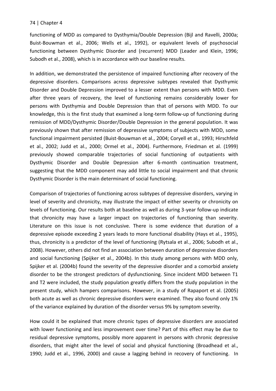functioning of MDD as compared to Dysthymia/Double Depression (Bijl and Ravelli, 2000a; Buist-Bouwman et al., 2006; Wells et al., 1992), or equivalent levels of psychosocial functioning between Dysthymic Disorder and (recurrent) MDD (Leader and Klein, 1996; Subodh et al., 2008), which is in accordance with our baseline results.

In addition, we demonstrated the persistence of impaired functioning after recovery of the depressive disorders. Comparisons across depressive subtypes revealed that Dysthymic Disorder and Double Depression improved to a lesser extent than persons with MDD. Even after three years of recovery, the level of functioning remains considerably lower for persons with Dysthymia and Double Depression than that of persons with MDD. To our knowledge, this is the first study that examined a long-term follow-up of functioning during remission of MDD/Dysthymic Disorder/Double Depression in the general population. It was previously shown that after remission of depressive symptoms of subjects with MDD, some functional impairment persisted (Buist-Bouwman et al., 2004; Coryell et al., 1993; Hirschfeld et al., 2002; Judd et al., 2000; Ormel et al., 2004). Furthermore, Friedman et al. (1999) previously showed comparable trajectories of social functioning of outpatients with Dysthymic Disorder and Double Depression after 6-month continuation treatment, suggesting that the MDD component may add little to social impairment and that chronic Dysthymic Disorder is the main determinant of social functioning.

Comparison of trajectories of functioning across subtypes of depressive disorders, varying in level of severity and chronicity, may illustrate the impact of either severity or chronicity on levels of functioning. Our results both at baseline as well as during 3-year follow-up indicate that chronicity may have a larger impact on trajectories of functioning than severity. Literature on this issue is not conclusive. There is some evidence that duration of a depressive episode exceeding 2 years leads to more functional disability (Hays et al., 1995), thus, chronicity is a predictor of the level of functioning (Rytsala et al., 2006; Subodh et al., 2008). However, others did not find an association between duration of depressive disorders and social functioning (Spijker et al., 2004b). In this study among persons with MDD only, Spijker et al. (2004b) found the severity of the depressive disorder and a comorbid anxiety disorder to be the strongest predictors of dysfunctioning. Since incident MDD between T1 and T2 were included, the study population greatly differs from the study population in the present study, which hampers comparisons. However, in a study of Rapaport et al. (2005) both acute as well as chronic depressive disorders were examined. They also found only 1% of the variance explained by duration of the disorder versus 9% by symptom severity.

How could it be explained that more chronic types of depressive disorders are associated with lower functioning and less improvement over time? Part of this effect may be due to residual depressive symptoms, possibly more apparent in persons with chronic depressive disorders, that might alter the level of social and physical functioning (Broadhead et al., 1990; Judd et al., 1996, 2000) and cause a lagging behind in recovery of functioning. In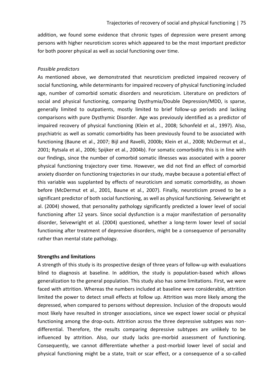addition, we found some evidence that chronic types of depression were present among persons with higher neuroticism scores which appeared to be the most important predictor for both poorer physical as well as social functioning over time.

# *Possible predictors*

As mentioned above, we demonstrated that neuroticism predicted impaired recovery of social functioning, while determinants for impaired recovery of physical functioning included age, number of comorbid somatic disorders and neuroticism. Literature on predictors of social and physical functioning, comparing Dysthymia/Double Depression/MDD, is sparse, generally limited to outpatients, mostly limited to brief follow-up periods and lacking comparisons with pure Dysthymic Disorder. Age was previously identified as a predictor of impaired recovery of physical functioning (Klein et al., 2008; Schonfeld et al., 1997). Also, psychiatric as well as somatic comorbidity has been previously found to be associated with functioning (Baune et al., 2007; Bijl and Ravelli, 2000b; Klein et al., 2008; McDermut et al., 2001; Rytsala et al., 2006; Spijker et al., 2004b). For somatic comorbidity this is in line with our findings, since the number of comorbid somatic illnesses was associated with a poorer physical functioning trajectory over time. However, we did not find an effect of comorbid anxiety disorder on functioning trajectories in our study, maybe because a potential effect of this variable was supplanted by effects of neuroticism and somatic comorbidity, as shown before (McDermut et al., 2001, Baune et al., 2007). Finally, neuroticism proved to be a significant predictor of both social functioning, as well as physical functioning. Seivewright et al. (2004) showed, that personality pathology significantly predicted a lower level of social functioning after 12 years. Since social dysfunction is a major manifestation of personality disorder, Seivewright et al. (2004) questioned, whether a long-term lower level of social functioning after treatment of depressive disorders, might be a consequence of personality rather than mental state pathology.

## **Strengths and limitations**

A strength of this study is its prospective design of three years of follow-up with evaluations blind to diagnosis at baseline. In addition, the study is population-based which allows generalization to the general population. This study also has some limitations. First, we were faced with attrition. Whereas the numbers included at baseline were considerable, attrition limited the power to detect small effects at follow up. Attrition was more likely among the depressed, when compared to persons without depression. Inclusion of the dropouts would most likely have resulted in stronger associations, since we expect lower social or physical functioning among the drop-outs. Attrition across the three depressive subtypes was nondifferential. Therefore, the results comparing depressive subtypes are unlikely to be influenced by attrition. Also, our study lacks pre-morbid assessment of functioning. Consequently, we cannot differentiate whether a post-morbid lower level of social and physical functioning might be a state, trait or scar effect, or a consequence of a so-called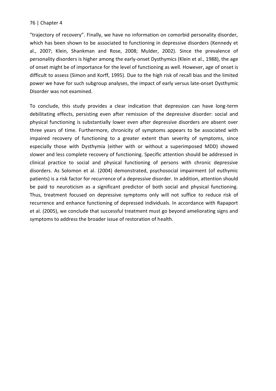"trajectory of recovery". Finally, we have no information on comorbid personality disorder, which has been shown to be associated to functioning in depressive disorders (Kennedy et al., 2007; Klein, Shankman and Rose, 2008; Mulder, 2002). Since the prevalence of personality disorders is higher among the early-onset Dysthymics (Klein et al., 1988), the age of onset might be of importance for the level of functioning as well. However, age of onset is difficult to assess (Simon and Korff, 1995). Due to the high risk of recall bias and the limited power we have for such subgroup analyses, the impact of early versus late-onset Dysthymic Disorder was not examined.

To conclude, this study provides a clear indication that depression can have long-term debilitating effects, persisting even after remission of the depressive disorder: social and physical functioning is substantially lower even after depressive disorders are absent over three years of time. Furthermore, chronicity of symptoms appears to be associated with impaired recovery of functioning to a greater extent than severity of symptoms, since especially those with Dysthymia (either with or without a superimposed MDD) showed slower and less complete recovery of functioning. Specific attention should be addressed in clinical practice to social and physical functioning of persons with chronic depressive disorders. As Solomon et al. (2004) demonstrated, psychosocial impairment (of euthymic patients) is a risk factor for recurrence of a depressive disorder. In addition, attention should be paid to neuroticism as a significant predictor of both social and physical functioning. Thus, treatment focused on depressive symptoms only will not suffice to reduce risk of recurrence and enhance functioning of depressed individuals. In accordance with Rapaport et al. (2005), we conclude that successful treatment must go beyond ameliorating signs and symptoms to address the broader issue of restoration of health.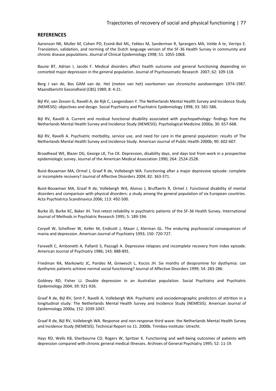#### **REFERENCES**

Aaronson NK, Muller M, Cohen PD, Essink-Bot ML, Fekkes M, Sanderman R, Sprangers MA, Velde A te, Verrips E. Translation, validation, and norming of the Dutch language version of the SF-36 Health Survey in community and chronic disease populations. Jöurnal of Clinical Epidemiology 1998; 51: 1055-1068.

Baune BT, Adrian I, Jacobi F. Medical disorders affect health outcome and general functioning depending on comorbid major depression in the general population. Journal of Psychosomatic Research 2007; 62: 109-118.

Berg J van de, Bos GAM van de. Het (meten van het) voorkomen van chronische aandoeningen 1974-1987. Maandbericht Gezondheid (CBS) 1989; 8: 4-21.

Bijl RV, van Zessen G, Ravelli A, de Rijk C, Langendoen Y. The Netherlands Mental Health Survey and Incidence Study (NEMESIS): objectives and design. Social Psychiatry and Psychiatric Epidemiology 1998; 33: 581-586.

Bijl RV, Ravelli A. Current and residual functional disability associated with psychopathology: findings from the Netherlands Mental Health Survey and Incidence Study (NEMESIS). Psychological Medicine 2000a; 30: 657-668.

Bijl RV, Ravelli A. Psychiatric morbidity, service use, and need for care in the general population: results of The Netherlands Mental Health Survey and Incidence Study. American Journal of Public Health 2000b; 90: 602-607.

Broadhead WE, Blazer DG, George LK, Tse CK. Depression, disability days, and days lost from work in a prospective epidemiologic survey. Journal of the American Medical Association 1990; 264: 2524-2528.

Buist-Bouwman MA, Ormel J, Graaf R de, Vollebergh WA. Functioning after a major depressive episode: complete or incomplete recovery? Journal of Affective Disorders 2004; 82: 363-371.

Buist-Bouwman MA, Graaf R de, Vollebergh WA, Alonso J, Bruffaerts R, Ormel J. Functional disability of mental disorders and comparison with physical disorders: a study among the general population of six European countries. Acta Psychiatrica Scandinavica 2006; 113: 492-500.

Burke JD, Burke KC, Baker JH. Test-retest reliability in psychiatric patients of the SF-36 Health Survey. International Journal of Methods in Psychiatric Research 1995; 5: 189-194.

Coryell W, Scheftner W, Keller M, Endicott J, Maser J, Klerman GL. The enduring psychosocial consequences of mania and depression. American Journal of Psychiatry 1993; 150: 720-727.

Faravelli C, Ambonetti A, Pallanti S, Pazzagli A. Depressive relapses and incomplete recovery from index episode. American Journal of Psychiatry 1986; 143: 888-891.

Friedman RA, Markowitz JC, Parides M, Gniwesch L, Kocsis JH. Six months of desipramine for dysthymia: can dysthymic patients achieve normal social functioning? Journal of Affective Disorders 1999; 54: 283-286.

Goldney RD, Fisher LJ. Double depression in an Australian population. Social Psychiatry and Psychiatric Epidemiology 2004; 39: 921-926.

Graaf R de, Bijl RV, Smit F, Ravelli A, Vollebergh WA. Psychiatric and sociodemographic predictors of attrition in a longitudinal study: The Netherlands Mental Health Survey and Incidence Study (NEMESIS). American Journal of Epidemiology 2000a; 152: 1039-1047.

Graaf R de, Bijl RV, Vollebergh WA. Response and non-response third wave: the Netherlands Mental Health Survey and Incidence Study (NEMESIS). Technical Report no 11. 2000b. Trimbos-institute: Utrecht.

Hays RD, Wells KB, Sherbourne CD, Rogers W, Spritzer K. Functioning and well-being outcomes of patients with depression compared with chronic general medical illnesses. Archives of General Psychiatry 1995; 52: 11-19.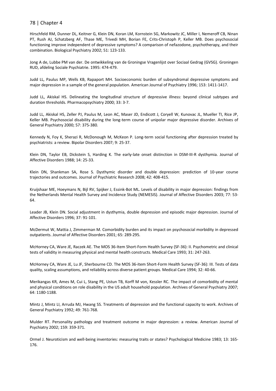Hirschfeld RM, Dunner DL, Keitner G, Klein DN, Koran LM, Kornstein SG, Markowitz JC, Miller I, Nemeroff CB, Ninan PT, Rush AJ, Schatzberg AF, Thase ME, Trivedi MH, Borian FE, Crits-Christoph P, Keller MB. Does psychosocial functioning improve independent of depressive symptoms? A comparison of nefazodone, psychotherapy, and their combination. Biological Psychiatry 2002; 51: 123-133.

Jong A de, Lubbe PM van der. De ontwikkeling van de Groningse Vragenlijst over Sociaal Gedrag (GVSG). Groningen RUD, afdeling Sociale Psychiatrie. 1995: 474-479.

Judd LL, Paulus MP, Wells KB, Rapaport MH. Socioeconomic burden of subsyndromal depressive symptoms and major depression in a sample of the general population. American Journal of Psychiatry 1996; 153: 1411-1417.

Judd LL, Akiskal HS. Delineating the longitudinal structure of depressive illness: beyond clinical subtypes and duration thresholds. Pharmacopsychiatry 2000; 33: 3-7.

Judd LL, Akiskal HS, Zeller PJ, Paulus M, Leon AC, Maser JD, Endicott J, Coryell W, Kunovac JL, Mueller TI, Rice JP, Keller MB. Psychosocial disability during the long-term course of unipolar major depressive disorder. Archives of General Psychiatry 2000; 57: 375-380.

Kennedy N, Foy K, Sherazi R, McDonough M, McKeon P. Long-term social functioning after depression treated by psychiatrists: a review. Bipolar Disorders 2007; 9: 25-37.

Klein DN, Taylor EB, Dickstein S, Harding K. The early-late onset distinction in DSM-III-R dysthymia. Journal of Affective Disorders 1988; 14: 25-33.

Klein DN, Shankman SA, Rose S. Dysthymic disorder and double depression: prediction of 10-year course trajectories and outcomes. Journal of Psychiatric Research 2008; 42: 408-415.

Kruijshaar ME, Hoeymans N, Bijl RV, Spijker J, Essink-Bot ML. Levels of disability in major depression: findings from the Netherlands Mental Health Survey and Incidence Study (NEMESIS). Journal of Affective Disorders 2003; 77: 53- 64.

Leader JB, Klein DN. Social adjustment in dysthymia, double depression and episodic major depression. Journal of Affective Disorders 1996; 37: 91-101.

McDermut W, Mattia J, Zimmerman M. Comorbidity burden and its impact on psychosocial morbidity in depressed outpatients. Journal of Affective Disorders 2001; 65: 289-295.

McHorney CA, Ware JE, Raczek AE. The MOS 36-Item Short-Form Health Survey (SF-36): II. Psychometric and clinical tests of validity in measuring physical and mental health constructs. Medical Care 1993; 31: 247-263.

McHorney CA, Ware JE, Lu JF, Sherbourne CD. The MOS 36-item Short-Form Health Survey (SF-36): III. Tests of data quality, scaling assumptions, and reliability across diverse patient groups. Medical Care 1994; 32: 40-66.

Merikangas KR, Ames M, Cui L, Stang PE, Ustun TB, Korff M von, Kessler RC. The impact of comorbidity of mental and physical conditions on role disability in the US adult household population. Archives of General Psychiatry 2007; 64: 1180-1188.

Mintz J, Mintz LI, Arruda MJ, Hwang SS. Treatments of depression and the functional capacity to work. Archives of General Psychiatry 1992; 49: 761-768.

Mulder RT. Personality pathology and treatment outcome in major depression: a review. American Journal of Psychiatry 2002; 159: 359-371.

Ormel J. Neuroticism and well-being inventories: measuring traits or states? Psychological Medicine 1983; 13: 165- 176.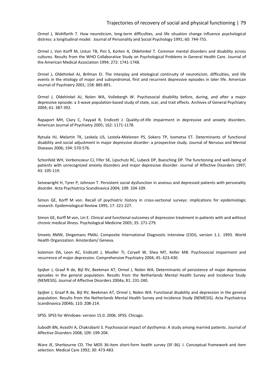#### Trajectories of recovery of social and physical functioning | 79

Ormel J, Wohlfarth T. How neuroticism, long-term difficulties, and life situation change influence psychological distress: a longitudinal model. Journal of Personality and Social Psychology 1991; 60: 744-755.

Ormel J, Von Korff M, Ustun TB, Pini S, Korten A, Oldehinkel T. Common mental disorders and disability across cultures. Results from the WHO Collaborative Study on Psychological Problems in General Health Care. Journal of the American Medical Association 1994; 272: 1741-1748.

Ormel J, Oldehinkel AJ, Brilman EI. The interplay and etiological continuity of neuroticism, difficulties, and life events in the etiology of major and subsyndromal, first and recurrent depressive episodes in later life. American Journal of Psychiatry 2001; 158: 885-891.

Ormel J, Oldehinkel AJ, Nolen WA, Vollebergh W. Psychosocial disability before, during, and after a major depressive episode: a 3-wave population-based study of state, scar, and trait effects. Archives of General Psychiatry 2004; 61: 387-392.

Rapaport MH, Clary C, Fayyad R, Endicott J. Quality-of-life impairment in depressive and anxiety disorders. American Journal of Psychiatry 2005; 162: 1171-1178.

Rytsala HJ, Melartin TK, Leskela US, Lestela-Mielonen PS, Sokero TP, Isometsa ET. Determinants of functional disability and social adjustment in major depressive disorder: a prospective study. Journal of Nervous and Mental Diseases 2006; 194: 570-576.

Schonfeld WH, Verboncoeur CJ, Fifer SK, Lipschutz RC, Lubeck DP, Buesching DP. The functioning and well-being of patients with unrecognized anxiety disorders and major depressive disorder. Journal of Affective Disorders 1997; 43: 105-119.

Seivewright H, Tyrer P, Johnson T. Persistent social dysfunction in anxious and depressed patients with personality disorder. Acta Psychiatrica Scandinavica 2004; 109: 104-109.

Simon GE, Korff M von. Recall of psychiatric history in cross-sectional surveys: implications for epidemiologic research. Epidemiological Review 1995; 17: 221-227.

Simon GE, Korff M von, Lin E. Clinical and functional outcomes of depression treatment in patients with and without chronic medical illness. Psychological Medicine 2005; 35: 271-279.

Smeets RMW, Dingemans PMAJ. Composite International Diagnostic Interview (CIDI), version 1.1. 1993. World Health Organization: Amsterdam/ Geneva.

Solomon DA, Leon AC, Endicott J, Mueller TI, Coryell W, Shea MT, Keller MB. Psychosocial impairment and recurrence of major depression. Comprehensive Psychiatry 2004; 45: 423-430.

Spijker J, Graaf R de, Bijl RV, Beekman AT, Ormel J, Nolen WA. Determinants of persistence of major depressive episodes in the general population. Results from the Netherlands Mental Health Survey and Incidence Study (NEMESIS). Journal of Affective Disorders 2004a; 81: 231-240.

Spijker J, Graaf R de, Bijl RV, Beekman AT, Ormel J, Nolen WA. Functional disability and depression in the general population. Results from the Netherlands Mental Health Survey and Incidence Study (NEMESIS). Acta Psychiatrica Scandinavica 2004b; 110: 208-214.

SPSS. SPSS for Windows: version 15.0. 2006. SPSS: Chicago.

Subodh BN, Avasthi A, Chakrabarti S. Psychosocial impact of dysthymia: A study among married patients. Journal of Affective Disorders 2008; 109: 199-204.

Ware JE, Sherbourne CD. The MOS 36-item short-form health survey (SF-36). I. Conceptual framework and item selection. Medical Care 1992; 30: 473-483.